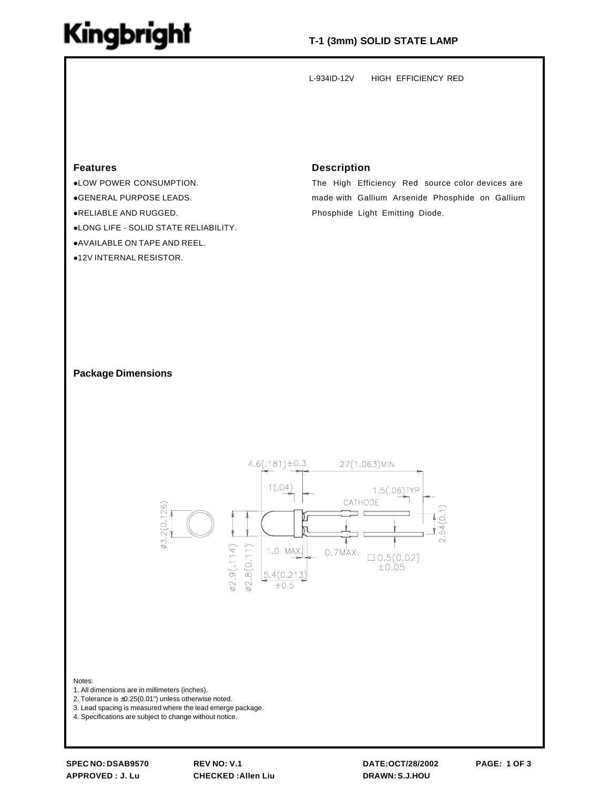## Kingbright

## **T-1 (3mm) SOLID STATE LAMP**

L-934ID-12V HIGH EFFICIENCY RED

## **Features**

**.LOW POWER CONSUMPTION.** !GENERAL PURPOSE LEADS.

- !RELIABLE AND RUGGED.
- !LONG LIFE SOLID STATE RELIABILITY.
- **.AVAILABLE ON TAPE AND REEL.**
- **.12V INTERNAL RESISTOR.**

### **Description**

The High Efficiency Red source color devices are made with Gallium Arsenide Phosphide on Gallium Phosphide Light Emitting Diode.

### **Package Dimensions**



#### Notes:

1. All dimensions are in millimeters (inches).

2. Tolerance is ±0.25(0.01") unless otherwise noted.

3. Lead spacing is measured where the lead emerge package.

4. Specifications are subject to change without notice.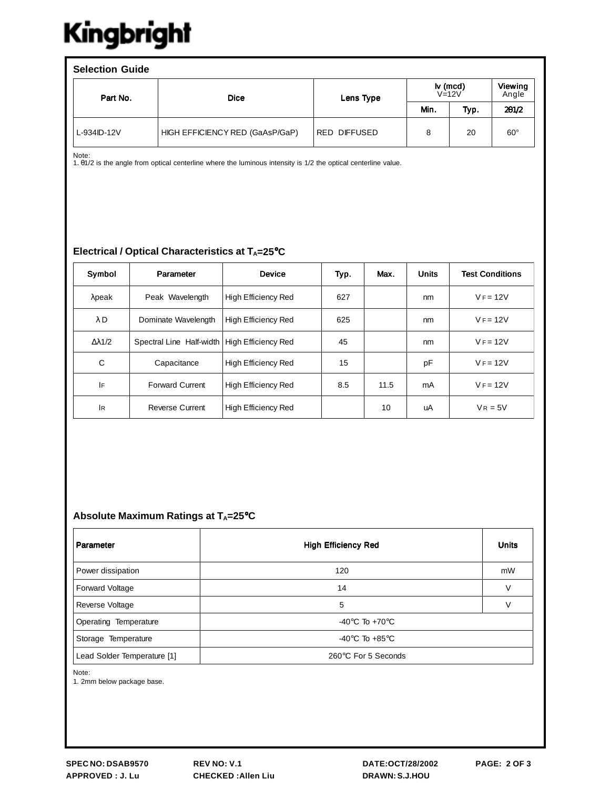# Kingbright

| <b>Selection Guide</b> |                                 |                                  |      |      |                  |  |  |  |  |
|------------------------|---------------------------------|----------------------------------|------|------|------------------|--|--|--|--|
| Part No.               | <b>Dice</b>                     | Iv (mcd)<br>$V=12V$<br>Lens Type |      |      | Viewing<br>Angle |  |  |  |  |
|                        |                                 |                                  | Min. | Typ. | 201/2            |  |  |  |  |
| L-934ID-12V            | HIGH EFFICIENCY RED (GaAsP/GaP) | RED DIFFUSED                     | 8    | 20   | $60^{\circ}$     |  |  |  |  |

Note: 1. θ1/2 is the angle from optical centerline where the luminous intensity is 1/2 the optical centerline value.

## **Electrical / Optical Characteristics at T<sub>A</sub>=25°C**

| Symbol               | Parameter                | <b>Device</b>              | Typ. | Max. | <b>Units</b> | <b>Test Conditions</b> |
|----------------------|--------------------------|----------------------------|------|------|--------------|------------------------|
| $\lambda$ peak       | Peak Wavelength          | High Efficiency Red        | 627  |      | nm           | $V = 12V$              |
| $\lambda$ D          | Dominate Wavelength      | <b>High Efficiency Red</b> | 625  |      | nm           | $V = 12V$              |
| $\Delta \lambda$ 1/2 | Spectral Line Half-width | High Efficiency Red        | 45   |      | nm           | $V = 12V$              |
| C                    | Capacitance              | <b>High Efficiency Red</b> | 15   |      | pF           | $V = 12V$              |
| IF                   | <b>Forward Current</b>   | High Efficiency Red        | 8.5  | 11.5 | mA           | $V = 12V$              |
| IR.                  | <b>Reverse Current</b>   | High Efficiency Red        |      | 10   | uA           | $V_R = 5V$             |

## Absolute Maximum Ratings at T<sub>A</sub>=25°C

| Parameter                   | <b>High Efficiency Red</b>           | <b>Units</b> |  |  |  |
|-----------------------------|--------------------------------------|--------------|--|--|--|
| Power dissipation           | 120                                  | mW           |  |  |  |
| <b>Forward Voltage</b>      | 14                                   | $\vee$       |  |  |  |
| Reverse Voltage             | 5                                    | $\vee$       |  |  |  |
| Operating Temperature       | $-40^{\circ}$ C To $+70^{\circ}$ C   |              |  |  |  |
| Storage Temperature         | -40 $^{\circ}$ C To +85 $^{\circ}$ C |              |  |  |  |
| Lead Solder Temperature [1] | 260°C For 5 Seconds                  |              |  |  |  |

Note:

1. 2mm below package base.